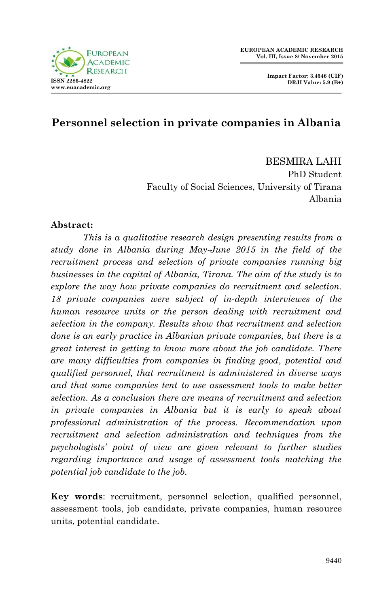



### **Personnel selection in private companies in Albania**

BESMIRA LAHI PhD Student Faculty of Social Sciences, University of Tirana Albania

#### **Abstract:**

*This is a qualitative research design presenting results from a study done in Albania during May-June 2015 in the field of the recruitment process and selection of private companies running big businesses in the capital of Albania, Tirana. The aim of the study is to explore the way how private companies do recruitment and selection. 18 private companies were subject of in-depth interviewes of the human resource units or the person dealing with recruitment and selection in the company. Results show that recruitment and selection done is an early practice in Albanian private companies, but there is a great interest in getting to know more about the job candidate. There are many difficulties from companies in finding good, potential and qualified personnel, that recruitment is administered in diverse ways and that some companies tent to use assessment tools to make better selection. As a conclusion there are means of recruitment and selection in private companies in Albania but it is early to speak about professional administration of the process. Recommendation upon recruitment and selection administration and techniques from the psychologists' point of view are given relevant to further studies regarding importance and usage of assessment tools matching the potential job candidate to the job.*

**Key words**: recruitment, personnel selection, qualified personnel, assessment tools, job candidate, private companies, human resource units, potential candidate.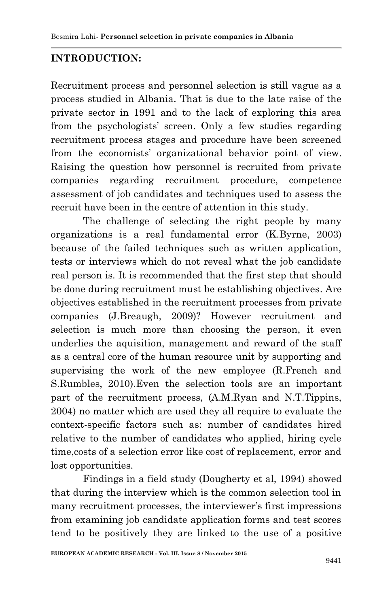## **INTRODUCTION:**

Recruitment process and personnel selection is still vague as a process studied in Albania. That is due to the late raise of the private sector in 1991 and to the lack of exploring this area from the psychologists' screen. Only a few studies regarding recruitment process stages and procedure have been screened from the economists" organizational behavior point of view. Raising the question how personnel is recruited from private companies regarding recruitment procedure, competence assessment of job candidates and techniques used to assess the recruit have been in the centre of attention in this study.

The challenge of selecting the right people by many organizations is a real fundamental error (K.Byrne, 2003) because of the failed techniques such as written application, tests or interviews which do not reveal what the job candidate real person is. It is recommended that the first step that should be done during recruitment must be establishing objectives. Are objectives established in the recruitment processes from private companies (J.Breaugh, 2009)? However recruitment and selection is much more than choosing the person, it even underlies the aquisition, management and reward of the staff as a central core of the human resource unit by supporting and supervising the work of the new employee (R.French and S.Rumbles, 2010).Even the selection tools are an important part of the recruitment process, (A.M.Ryan and N.T.Tippins, 2004) no matter which are used they all require to evaluate the context-specific factors such as: number of candidates hired relative to the number of candidates who applied, hiring cycle time,costs of a selection error like cost of replacement, error and lost opportunities.

Findings in a field study (Dougherty et al, 1994) showed that during the interview which is the common selection tool in many recruitment processes, the interviewer's first impressions from examining job candidate application forms and test scores tend to be positively they are linked to the use of a positive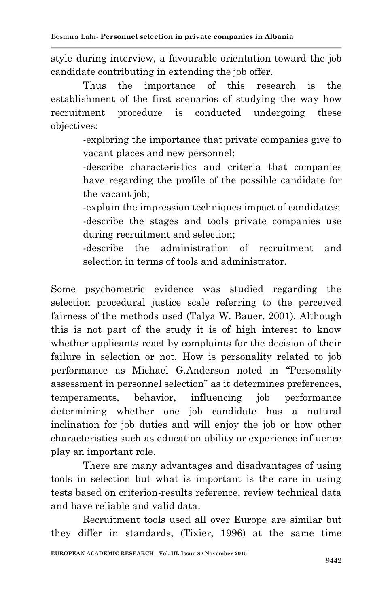style during interview, a favourable orientation toward the job candidate contributing in extending the job offer.

Thus the importance of this research is the establishment of the first scenarios of studying the way how recruitment procedure is conducted undergoing these objectives:

> -exploring the importance that private companies give to vacant places and new personnel;

> -describe characteristics and criteria that companies have regarding the profile of the possible candidate for the vacant job;

> -explain the impression techniques impact of candidates; -describe the stages and tools private companies use during recruitment and selection;

> -describe the administration of recruitment and selection in terms of tools and administrator.

Some psychometric evidence was studied regarding the selection procedural justice scale referring to the perceived fairness of the methods used (Talya W. Bauer, 2001). Although this is not part of the study it is of high interest to know whether applicants react by complaints for the decision of their failure in selection or not. How is personality related to job performance as Michael G.Anderson noted in "Personality assessment in personnel selection" as it determines preferences, temperaments, behavior, influencing job performance determining whether one job candidate has a natural inclination for job duties and will enjoy the job or how other characteristics such as education ability or experience influence play an important role.

There are many advantages and disadvantages of using tools in selection but what is important is the care in using tests based on criterion-results reference, review technical data and have reliable and valid data.

Recruitment tools used all over Europe are similar but they differ in standards, (Tixier, 1996) at the same time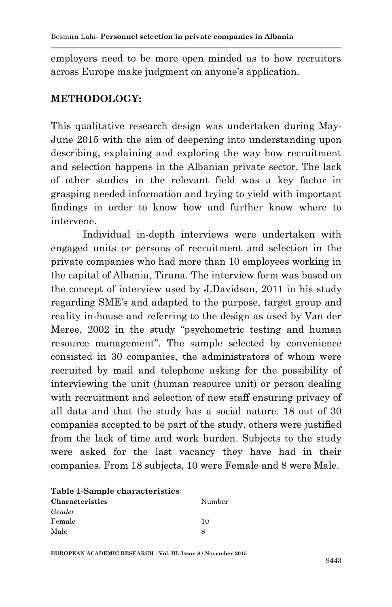employers need to be more open minded as to how recruiters across Europe make judgment on anyone"s application.

#### **METHODOLOGY:**

This qualitative research design was undertaken during May-June 2015 with the aim of deepening into understanding upon describing, explaining and exploring the way how recruitment and selection happens in the Albanian private sector. The lack of other studies in the relevant field was a key factor in grasping needed information and trying to yield with important findings in order to know how and further know where to intervene.

Individual in-depth interviews were undertaken with engaged units or persons of recruitment and selection in the private companies who had more than 10 employees working in the capital of Albania, Tirana. The interview form was based on the concept of interview used by J.Davidson, 2011 in his study regarding SME"s and adapted to the purpose, target group and reality in-house and referring to the design as used by Van der Meree, 2002 in the study "psychometric testing and human resource management". The sample selected by convenience consisted in 30 companies, the administrators of whom were recruited by mail and telephone asking for the possibility of interviewing the unit (human resource unit) or person dealing with recruitment and selection of new staff ensuring privacy of all data and that the study has a social nature. 18 out of 30 companies accepted to be part of the study, others were justified from the lack of time and work burden. Subjects to the study were asked for the last vacancy they have had in their companies. From 18 subjects, 10 were Female and 8 were Male.

| Table 1-Sample characteristics |        |
|--------------------------------|--------|
| <b>Characteristics</b>         | Number |
| Gender                         |        |
| Female                         | 10     |
| Male                           |        |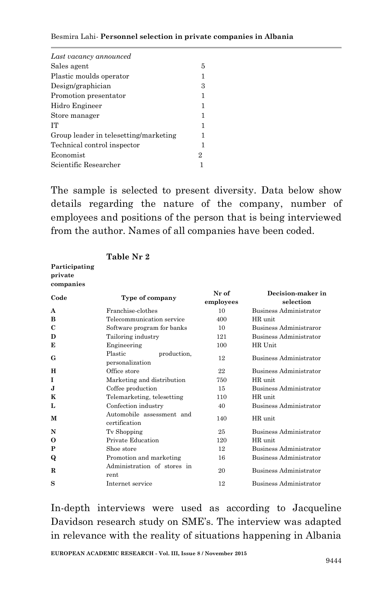| Last vacancy announced                |   |
|---------------------------------------|---|
| Sales agent                           | 5 |
| Plastic moulds operator               | 1 |
| Design/graphician                     | 3 |
| Promotion presentator                 | 1 |
| Hidro Engineer                        | 1 |
| Store manager                         | 1 |
| TТ                                    | 1 |
| Group leader in telesetting/marketing | 1 |
| Technical control inspector           | 1 |
| Economist                             | 2 |
| Scientific Researcher                 |   |

The sample is selected to present diversity. Data below show details regarding the nature of the company, number of employees and positions of the person that is being interviewed from the author. Names of all companies have been coded.

| private<br>companies |                                            |                    |                                |  |  |
|----------------------|--------------------------------------------|--------------------|--------------------------------|--|--|
| Code                 | Type of company                            | Nr of<br>employees | Decision-maker in<br>selection |  |  |
| A                    | Franchise-clothes                          | 10                 | Business Administrator         |  |  |
| B                    | Telecommunication service                  | 400                | HR unit.                       |  |  |
| C                    | Software program for banks                 | 10                 | Business Administraror         |  |  |
| D                    | Tailoring industry                         | 121                | Business Administrator         |  |  |
| E                    | Engineering                                | 100                | HR Unit                        |  |  |
| G                    | Plastic<br>production,<br>personalization  | 12                 | Business Administrator         |  |  |
| H                    | Office store                               | 22                 | Business Administrator         |  |  |
| 1                    | Marketing and distribution                 | 750                | HR unit.                       |  |  |
| J.                   | Coffee production                          | 15                 | Business Administrator         |  |  |
| K                    | Telemarketing, telesetting                 | 110                | HR unit.                       |  |  |
| L                    | Confection industry                        | 40                 | Business Administrator         |  |  |
| М                    | Automobile assessment and<br>certification | 140                | HR unit.                       |  |  |
| N                    | Tv Shopping                                | 25                 | Business Administrator         |  |  |
| 0                    | Private Education                          | 120                | HR unit.                       |  |  |
| P                    | Shoe store                                 | 12                 | Business Administrator         |  |  |
| Q                    | Promotion and marketing                    | 16                 | Business Administrator         |  |  |
| R                    | Administration of stores in<br>rent        | 20                 | Business Administrator         |  |  |
| S                    | Internet service                           | 12                 | Business Administrator         |  |  |

#### **Table Nr 2**

**Participating** 

In-depth interviews were used as according to Jacqueline Davidson research study on SME"s. The interview was adapted in relevance with the reality of situations happening in Albania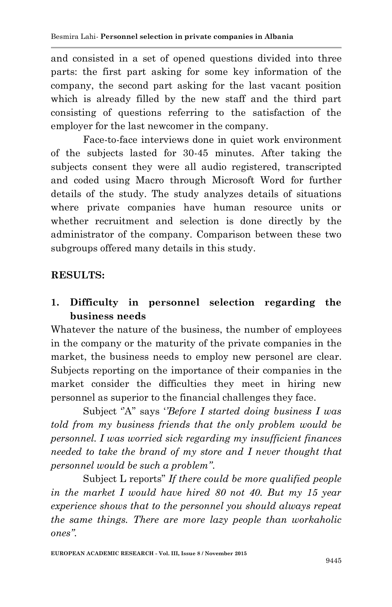and consisted in a set of opened questions divided into three parts: the first part asking for some key information of the company, the second part asking for the last vacant position which is already filled by the new staff and the third part consisting of questions referring to the satisfaction of the employer for the last newcomer in the company.

Face-to-face interviews done in quiet work environment of the subjects lasted for 30-45 minutes. After taking the subjects consent they were all audio registered, transcripted and coded using Macro through Microsoft Word for further details of the study. The study analyzes details of situations where private companies have human resource units or whether recruitment and selection is done directly by the administrator of the company. Comparison between these two subgroups offered many details in this study.

## **RESULTS:**

# **1. Difficulty in personnel selection regarding the business needs**

Whatever the nature of the business, the number of employees in the company or the maturity of the private companies in the market, the business needs to employ new personel are clear. Subjects reporting on the importance of their companies in the market consider the difficulties they meet in hiring new personnel as superior to the financial challenges they face.

Subject "A" says "*Before I started doing business I was told from my business friends that the only problem would be personnel. I was worried sick regarding my insufficient finances needed to take the brand of my store and I never thought that personnel would be such a problem''*.

Subject L reports" *If there could be more qualified people in the market I would have hired 80 not 40. But my 15 year experience shows that to the personnel you should always repeat the same things. There are more lazy people than workaholic ones''.*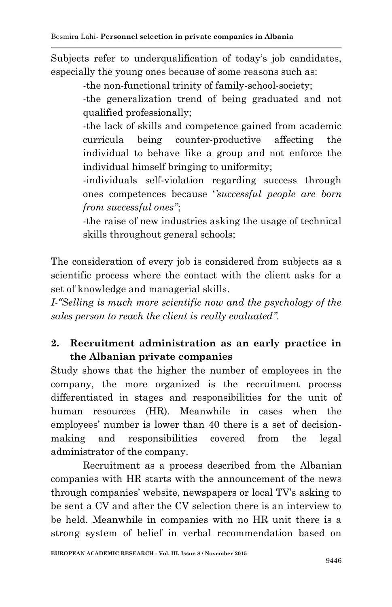Subjects refer to underqualification of today's job candidates, especially the young ones because of some reasons such as:

-the non-functional trinity of family-school-society;

-the generalization trend of being graduated and not qualified professionally;

-the lack of skills and competence gained from academic curricula being counter-productive affecting the individual to behave like a group and not enforce the individual himself bringing to uniformity;

-individuals self-violation regarding success through ones competences because "*'successful people are born from successful ones''*;

-the raise of new industries asking the usage of technical skills throughout general schools;

The consideration of every job is considered from subjects as a scientific process where the contact with the client asks for a set of knowledge and managerial skills.

*I-"Selling is much more scientific now and the psychology of the sales person to reach the client is really evaluated''.*

## **2. Recruitment administration as an early practice in the Albanian private companies**

Study shows that the higher the number of employees in the company, the more organized is the recruitment process differentiated in stages and responsibilities for the unit of human resources (HR). Meanwhile in cases when the employees' number is lower than 40 there is a set of decisionmaking and responsibilities covered from the legal administrator of the company.

Recruitment as a process described from the Albanian companies with HR starts with the announcement of the news through companies" website, newspapers or local TV"s asking to be sent a CV and after the CV selection there is an interview to be held. Meanwhile in companies with no HR unit there is a strong system of belief in verbal recommendation based on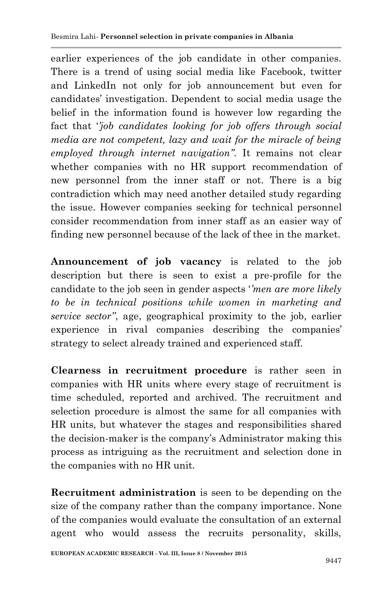earlier experiences of the job candidate in other companies. There is a trend of using social media like Facebook, twitter and LinkedIn not only for job announcement but even for candidates" investigation. Dependent to social media usage the belief in the information found is however low regarding the fact that "*'job candidates looking for job offers through social media are not competent, lazy and wait for the miracle of being employed through internet navigation''.* It remains not clear whether companies with no HR support recommendation of new personnel from the inner staff or not. There is a big contradiction which may need another detailed study regarding the issue. However companies seeking for technical personnel consider recommendation from inner staff as an easier way of finding new personnel because of the lack of thee in the market.

**Announcement of job vacancy** is related to the job description but there is seen to exist a pre-profile for the candidate to the job seen in gender aspects "*'men are more likely to be in technical positions while women in marketing and service sector''*, age, geographical proximity to the job, earlier experience in rival companies describing the companies' strategy to select already trained and experienced staff.

**Clearness in recruitment procedure** is rather seen in companies with HR units where every stage of recruitment is time scheduled, reported and archived. The recruitment and selection procedure is almost the same for all companies with HR units, but whatever the stages and responsibilities shared the decision-maker is the company"s Administrator making this process as intriguing as the recruitment and selection done in the companies with no HR unit.

**Recruitment administration** is seen to be depending on the size of the company rather than the company importance. None of the companies would evaluate the consultation of an external agent who would assess the recruits personality, skills,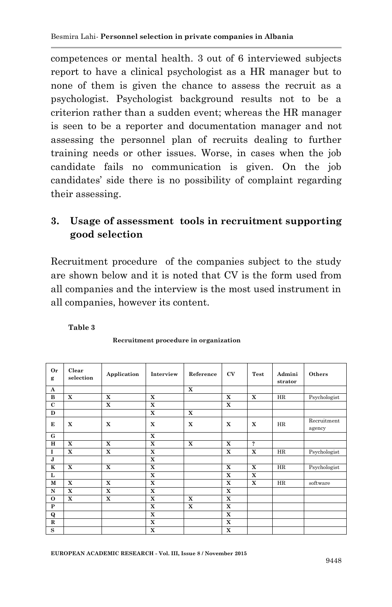competences or mental health. 3 out of 6 interviewed subjects report to have a clinical psychologist as a HR manager but to none of them is given the chance to assess the recruit as a psychologist. Psychologist background results not to be a criterion rather than a sudden event; whereas the HR manager is seen to be a reporter and documentation manager and not assessing the personnel plan of recruits dealing to further training needs or other issues. Worse, in cases when the job candidate fails no communication is given. On the job candidates" side there is no possibility of complaint regarding their assessing.

## **3. Usage of assessment tools in recruitment supporting good selection**

Recruitment procedure of the companies subject to the study are shown below and it is noted that CV is the form used from all companies and the interview is the most used instrument in all companies, however its content.

**Table 3**

| <b>Or</b><br>g | Clear<br>selection | Application | Interview   | Reference   | <b>CV</b>   | Test                       | Admini<br>strator | Others                |
|----------------|--------------------|-------------|-------------|-------------|-------------|----------------------------|-------------------|-----------------------|
| A              |                    |             |             | $\mathbf x$ |             |                            |                   |                       |
| $\bf{B}$       | $\mathbf x$        | $\mathbf x$ | $\mathbf x$ |             | $\mathbf x$ | $\mathbf x$                | HR                | Psychologist          |
| $\mathbf{C}$   |                    | X           | X           |             | $\mathbf x$ |                            |                   |                       |
| D              |                    |             | X           | X           |             |                            |                   |                       |
| E              | $\mathbf x$        | $\mathbf x$ | X           | $\mathbf x$ | X           | X                          | HR                | Recruitment<br>agency |
| G              |                    |             | X           |             |             |                            |                   |                       |
| H              | $\mathbf x$        | $\mathbf x$ | $\mathbf x$ | $\mathbf x$ | $\mathbf X$ | $\boldsymbol{\mathcal{P}}$ |                   |                       |
| 1              | $\mathbf x$        | X           | $\mathbf x$ |             | X           | X                          | HR                | Psychologist          |
| J              |                    |             | X           |             |             |                            |                   |                       |
| $\mathbf K$    | $\mathbf x$        | $\mathbf x$ | $\mathbf x$ |             | $\mathbf x$ | $\mathbf x$                | HR                | Psychologist          |
| L              |                    |             | X           |             | X           | X                          |                   |                       |
| $\mathbf M$    | $\mathbf x$        | X           | X           |             | X           | X                          | HR                | software              |
| $\mathbf N$    | $\mathbf x$        | $\mathbf x$ | X           |             | X           |                            |                   |                       |
| $\mathbf{o}$   | $\mathbf x$        | $\mathbf x$ | $\mathbf x$ | X           | X           |                            |                   |                       |
| ${\bf P}$      |                    |             | $\mathbf x$ | $\mathbf x$ | $\mathbf X$ |                            |                   |                       |
| Q              |                    |             | $\mathbf x$ |             | X           |                            |                   |                       |
| ${\bf R}$      |                    |             | X           |             | X           |                            |                   |                       |
| S              |                    |             | $\mathbf x$ |             | X           |                            |                   |                       |

**Recruitment procedure in organization**

**EUROPEAN ACADEMIC RESEARCH - Vol. III, Issue 8 / November 2015**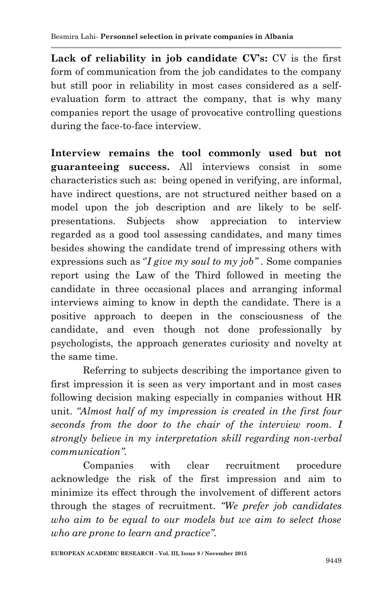**Lack of reliability in job candidate CV's:** CV is the first form of communication from the job candidates to the company but still poor in reliability in most cases considered as a selfevaluation form to attract the company, that is why many companies report the usage of provocative controlling questions during the face-to-face interview.

**Interview remains the tool commonly used but not guaranteeing success.** All interviews consist in some characteristics such as: being opened in verifying, are informal, have indirect questions, are not structured neither based on a model upon the job description and are likely to be selfpresentations. Subjects show appreciation to interview regarded as a good tool assessing candidates, and many times besides showing the candidate trend of impressing others with expressions such as "*I give my soul to my job*". Some companies report using the Law of the Third followed in meeting the candidate in three occasional places and arranging informal interviews aiming to know in depth the candidate. There is a positive approach to deepen in the consciousness of the candidate, and even though not done professionally by psychologists, the approach generates curiosity and novelty at the same time.

Referring to subjects describing the importance given to first impression it is seen as very important and in most cases following decision making especially in companies without HR unit. *"Almost half of my impression is created in the first four seconds from the door to the chair of the interview room. I strongly believe in my interpretation skill regarding non-verbal communication''.*

Companies with clear recruitment procedure acknowledge the risk of the first impression and aim to minimize its effect through the involvement of different actors through the stages of recruitment. *"We prefer job candidates who aim to be equal to our models but we aim to select those who are prone to learn and practice''.*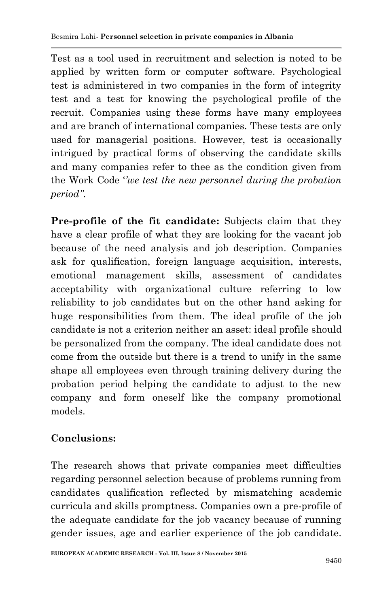Test as a tool used in recruitment and selection is noted to be applied by written form or computer software. Psychological test is administered in two companies in the form of integrity test and a test for knowing the psychological profile of the recruit. Companies using these forms have many employees and are branch of international companies. These tests are only used for managerial positions. However, test is occasionally intrigued by practical forms of observing the candidate skills and many companies refer to thee as the condition given from the Work Code "*'we test the new personnel during the probation period''.*

**Pre-profile of the fit candidate:** Subjects claim that they have a clear profile of what they are looking for the vacant job because of the need analysis and job description. Companies ask for qualification, foreign language acquisition, interests, emotional management skills, assessment of candidates acceptability with organizational culture referring to low reliability to job candidates but on the other hand asking for huge responsibilities from them. The ideal profile of the job candidate is not a criterion neither an asset: ideal profile should be personalized from the company. The ideal candidate does not come from the outside but there is a trend to unify in the same shape all employees even through training delivery during the probation period helping the candidate to adjust to the new company and form oneself like the company promotional models.

# **Conclusions:**

The research shows that private companies meet difficulties regarding personnel selection because of problems running from candidates qualification reflected by mismatching academic curricula and skills promptness. Companies own a pre-profile of the adequate candidate for the job vacancy because of running gender issues, age and earlier experience of the job candidate.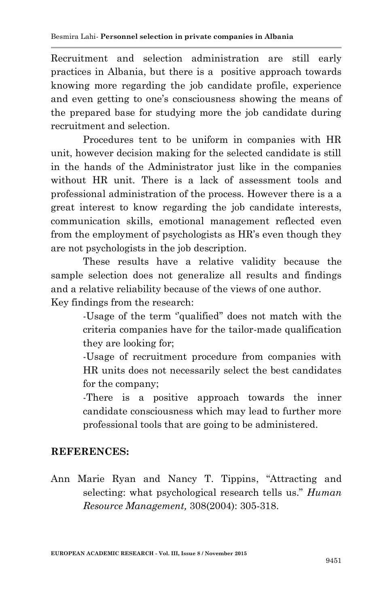Recruitment and selection administration are still early practices in Albania, but there is a positive approach towards knowing more regarding the job candidate profile, experience and even getting to one's consciousness showing the means of the prepared base for studying more the job candidate during recruitment and selection.

Procedures tent to be uniform in companies with HR unit, however decision making for the selected candidate is still in the hands of the Administrator just like in the companies without HR unit. There is a lack of assessment tools and professional administration of the process. However there is a a great interest to know regarding the job candidate interests, communication skills, emotional management reflected even from the employment of psychologists as HR"s even though they are not psychologists in the job description.

These results have a relative validity because the sample selection does not generalize all results and findings and a relative reliability because of the views of one author. Key findings from the research:

> -Usage of the term "qualified" does not match with the criteria companies have for the tailor-made qualification they are looking for;

> -Usage of recruitment procedure from companies with HR units does not necessarily select the best candidates for the company;

> -There is a positive approach towards the inner candidate consciousness which may lead to further more professional tools that are going to be administered.

### **REFERENCES:**

Ann Marie Ryan and Nancy T. Tippins, "Attracting and selecting: what psychological research tells us." *Human Resource Management,* 308(2004): 305-318.